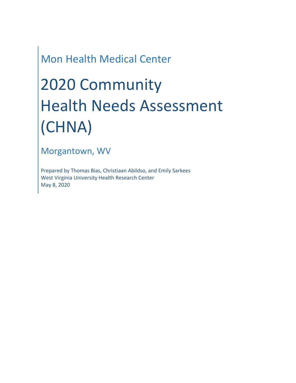# Mon Health Medical Center

# 2020 Community Health Needs Assessment (CHNA)

Morgantown, WV

Prepared by Thomas Bias, Christiaan Abildso, and Emily Sarkees West Virginia University Health Research Center May 8, 2020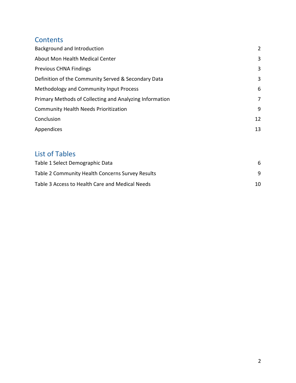### **Contents**

| Background and Introduction                             | 2  |
|---------------------------------------------------------|----|
| About Mon Health Medical Center                         | 3  |
| <b>Previous CHNA Findings</b>                           | 3  |
| Definition of the Community Served & Secondary Data     | 3  |
| Methodology and Community Input Process                 | 6  |
| Primary Methods of Collecting and Analyzing Information | 7  |
| <b>Community Health Needs Prioritization</b>            | 9  |
| Conclusion                                              | 12 |
| Appendices                                              | 13 |

## List of Tables

| Table 1 Select Demographic Data                  | 6.  |
|--------------------------------------------------|-----|
| Table 2 Community Health Concerns Survey Results |     |
| Table 3 Access to Health Care and Medical Needs  | 10. |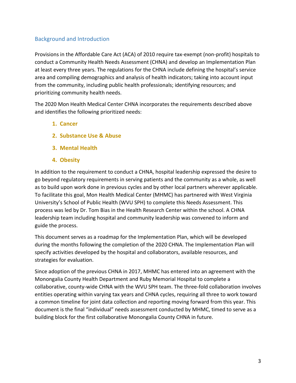#### Background and Introduction

Provisions in the Affordable Care Act (ACA) of 2010 require tax-exempt (non-profit) hospitals to conduct a Community Health Needs Assessment (CHNA) and develop an Implementation Plan at least every three years. The regulations for the CHNA include defining the hospital's service area and compiling demographics and analysis of health indicators; taking into account input from the community, including public health professionals; identifying resources; and prioritizing community health needs.

The 2020 Mon Health Medical Center CHNA incorporates the requirements described above and identifies the following prioritized needs:

- **1. Cancer**
- **2. Substance Use & Abuse**
- **3. Mental Health**
- **4. Obesity**

In addition to the requirement to conduct a CHNA, hospital leadership expressed the desire to go beyond regulatory requirements in serving patients and the community as a whole, as well as to build upon work done in previous cycles and by other local partners wherever applicable. To facilitate this goal, Mon Health Medical Center (MHMC) has partnered with West Virginia University's School of Public Health (WVU SPH) to complete this Needs Assessment. This process was led by Dr. Tom Bias in the Health Research Center within the school. A CHNA leadership team including hospital and community leadership was convened to inform and guide the process.

This document serves as a roadmap for the Implementation Plan, which will be developed during the months following the completion of the 2020 CHNA. The Implementation Plan will specify activities developed by the hospital and collaborators, available resources, and strategies for evaluation.

Since adoption of the previous CHNA in 2017, MHMC has entered into an agreement with the Monongalia County Health Department and Ruby Memorial Hospital to complete a collaborative, county-wide CHNA with the WVU SPH team. The three-fold collaboration involves entities operating within varying tax years and CHNA cycles, requiring all three to work toward a common timeline for joint data collection and reporting moving forward from this year. This document is the final "individual" needs assessment conducted by MHMC, timed to serve as a building block for the first collaborative Monongalia County CHNA in future.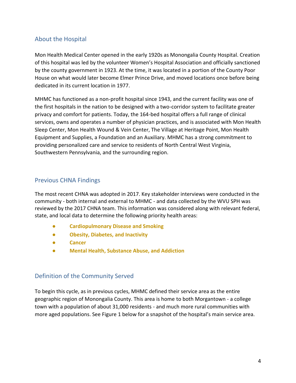#### <span id="page-3-0"></span>About the Hospital

Mon Health Medical Center opened in the early 1920s as Monongalia County Hospital. Creation of this hospital was led by the volunteer Women's Hospital Association and officially sanctioned by the county government in 1923. At the time, it was located in a portion of the County Poor House on what would later become Elmer Prince Drive, and moved locations once before being dedicated in its current location in 1977.

MHMC has functioned as a non-profit hospital since 1943, and the current facility was one of the first hospitals in the nation to be designed with a two-corridor system to facilitate greater privacy and comfort for patients. Today, the 164-bed hospital offers a full range of clinical services, owns and operates a number of physician practices, and is associated with Mon Health Sleep Center, Mon Health Wound & Vein Center, The Village at Heritage Point, Mon Health Equipment and Supplies, a Foundation and an Auxiliary. MHMC has a strong commitment to providing personalized care and service to residents of North Central West Virginia, Southwestern Pennsylvania, and the surrounding region.

#### Previous CHNA Findings

The most recent CHNA was adopted in 2017. Key stakeholder interviews were conducted in the community - both internal and external to MHMC - and data collected by the WVU SPH was reviewed by the 2017 CHNA team. This information was considered along with relevant federal, state, and local data to determine the following priority health areas:

- **Cardiopulmonary Disease and Smoking**
- **Obesity, Diabetes, and Inactivity**
- **Cancer**
- **Mental Health, Substance Abuse, and Addiction**

#### Definition of the Community Served

To begin this cycle, as in previous cycles, MHMC defined their service area as the entire geographic region of Monongalia County. This area is home to both Morgantown - a college town with a population of about 31,000 residents - and much more rural communities with more aged populations. See Figure 1 below for a snapshot of the hospital's main service area.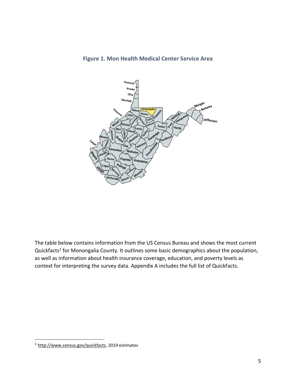

**Figure 1. Mon Health Medical Center Service Area**

The table below contains information from the US Census Bureau and shows the most current Quickfacts<sup>1</sup> for Monongalia County. It outlines some basic demographics about the population, as well as information about health insurance coverage, education, and poverty levels as context for interpreting the survey data. Appendix A includes the full list of Quickfacts.

<sup>&</sup>lt;sup>1</sup> [http://www.census.gov/quickfacts,](http://www.census.gov/quickfacts) 2019 estimates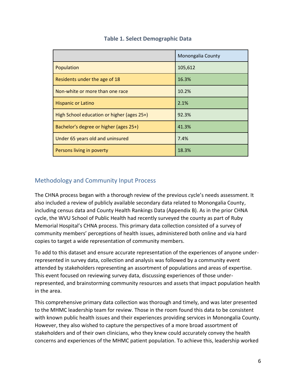|                                            | Monongalia County |
|--------------------------------------------|-------------------|
| Population                                 | 105,612           |
| Residents under the age of 18              | 16.3%             |
| Non-white or more than one race            | 10.2%             |
| <b>Hispanic or Latino</b>                  | 2.1%              |
| High School education or higher (ages 25+) | 92.3%             |
| Bachelor's degree or higher (ages 25+)     | 41.3%             |
| Under 65 years old and uninsured           | 7.4%              |
| Persons living in poverty                  | 18.3%             |

#### **Table 1. Select Demographic Data**

#### <span id="page-5-0"></span>Methodology and Community Input Process

The CHNA process began with a thorough review of the previous cycle's needs assessment. It also included a review of publicly available secondary data related to Monongalia County, including census data and County Health Rankings Data (Appendix B). As in the prior CHNA cycle, the WVU School of Public Health had recently surveyed the county as part of Ruby Memorial Hospital's CHNA process. This primary data collection consisted of a survey of community members' perceptions of health issues, administered both online and via hard copies to target a wide representation of community members.

To add to this dataset and ensure accurate representation of the experiences of anyone underrepresented in survey data, collection and analysis was followed by a community event attended by stakeholders representing an assortment of populations and areas of expertise. This event focused on reviewing survey data, discussing experiences of those underrepresented, and brainstorming community resources and assets that impact population health in the area.

This comprehensive primary data collection was thorough and timely, and was later presented to the MHMC leadership team for review. Those in the room found this data to be consistent with known public health issues and their experiences providing services in Monongalia County. However, they also wished to capture the perspectives of a more broad assortment of stakeholders and of their own clinicians, who they knew could accurately convey the health concerns and experiences of the MHMC patient population. To achieve this, leadership worked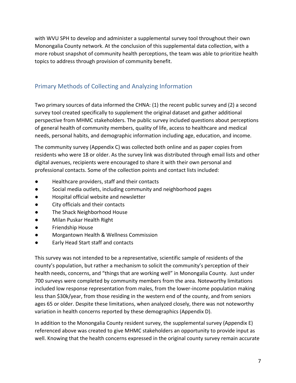with WVU SPH to develop and administer a supplemental survey tool throughout their own Monongalia County network. At the conclusion of this supplemental data collection, with a more robust snapshot of community health perceptions, the team was able to prioritize health topics to address through provision of community benefit.

#### Primary Methods of Collecting and Analyzing Information

Two primary sources of data informed the CHNA: (1) the recent public survey and (2) a second survey tool created specifically to supplement the original dataset and gather additional perspective from MHMC stakeholders. The public survey included questions about perceptions of general health of community members, quality of life, access to healthcare and medical needs, personal habits, and demographic information including age, education, and income.

The community survey (Appendix C) was collected both online and as paper copies from residents who were 18 or older. As the survey link was distributed through email lists and other digital avenues, recipients were encouraged to share it with their own personal and professional contacts. Some of the collection points and contact lists included:

- Healthcare providers, staff and their contacts
- Social media outlets, including community and neighborhood pages
- Hospital official website and newsletter
- City officials and their contacts
- The Shack Neighborhood House
- Milan Puskar Health Right
- Friendship House
- Morgantown Health & Wellness Commission
- Early Head Start staff and contacts

This survey was not intended to be a representative, scientific sample of residents of the county's population, but rather a mechanism to solicit the community's perception of their health needs, concerns, and "things that are working well" in Monongalia County. Just under 700 surveys were completed by community members from the area. Noteworthy limitations included low response representation from males, from the lower-income population making less than \$30k/year, from those residing in the western end of the county, and from seniors ages 65 or older. Despite these limitations, when analyzed closely, there was not noteworthy variation in health concerns reported by these demographics (Appendix D).

In addition to the Monongalia County resident survey, the supplemental survey (Appendix E) referenced above was created to give MHMC stakeholders an opportunity to provide input as well. Knowing that the health concerns expressed in the original county survey remain accurate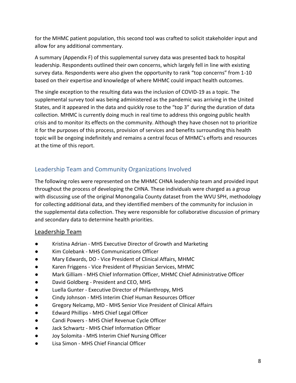for the MHMC patient population, this second tool was crafted to solicit stakeholder input and allow for any additional commentary.

A summary (Appendix F) of this supplemental survey data was presented back to hospital leadership. Respondents outlined their own concerns, which largely fell in line with existing survey data. Respondents were also given the opportunity to rank "top concerns" from 1-10 based on their expertise and knowledge of where MHMC could impact health outcomes.

The single exception to the resulting data was the inclusion of COVID-19 as a topic. The supplemental survey tool was being administered as the pandemic was arriving in the United States, and it appeared in the data and quickly rose to the "top 3" during the duration of data collection. MHMC is currently doing much in real time to address this ongoing public health crisis and to monitor its effects on the community. Although they have chosen not to prioritize it for the purposes of this process, provision of services and benefits surrounding this health topic will be ongoing indefinitely and remains a central focus of MHMC's efforts and resources at the time of this report.

#### Leadership Team and Community Organizations Involved

The following roles were represented on the MHMC CHNA leadership team and provided input throughout the process of developing the CHNA. These individuals were charged as a group with discussing use of the original Monongalia County dataset from the WVU SPH, methodology for collecting additional data, and they identified members of the community for inclusion in the supplemental data collection. They were responsible for collaborative discussion of primary and secondary data to determine health priorities.

#### Leadership Team

- Kristina Adrian MHS Executive Director of Growth and Marketing
- Kim Colebank MHS Communications Officer
- Mary Edwards, DO Vice President of Clinical Affairs, MHMC
- Karen Friggens Vice President of Physician Services, MHMC
- Mark Gilliam MHS Chief Information Officer, MHMC Chief Administrative Officer
- David Goldberg President and CEO, MHS
- Luella Gunter Executive Director of Philanthropy, MHS
- Cindy Johnson MHS Interim Chief Human Resources Officer
- Gregory Nelcamp, MD MHS Senior Vice President of Clinical Affairs
- Edward Phillips MHS Chief Legal Officer
- Candi Powers MHS Chief Revenue Cycle Officer
- Jack Schwartz MHS Chief Information Officer
- Joy Solomita MHS Interim Chief Nursing Officer
- Lisa Simon MHS Chief Financial Officer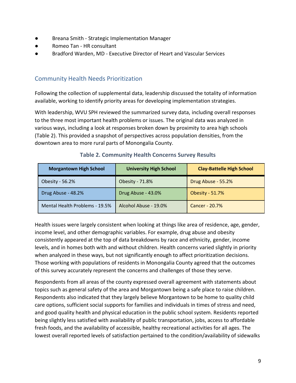- Breana Smith Strategic Implementation Manager
- Romeo Tan HR consultant
- Bradford Warden, MD Executive Director of Heart and Vascular Services

#### Community Health Needs Prioritization

Following the collection of supplemental data, leadership discussed the totality of information available, working to identify priority areas for developing implementation strategies.

With leadership, WVU SPH reviewed the summarized survey data, including overall responses to the three most important health problems or issues. The original data was analyzed in various ways, including a look at responses broken down by proximity to area high schools (Table 2). This provided a snapshot of perspectives across population densities, from the downtown area to more rural parts of Monongalia County.

| <b>Morgantown High School</b>  | <b>University High School</b> | <b>Clay-Battelle High School</b> |  |
|--------------------------------|-------------------------------|----------------------------------|--|
| Obesity - 56.2%                | Obesity - 71.8%               | Drug Abuse - 55.2%               |  |
| Drug Abuse - 48.2%             | Drug Abuse - 43.0%            | <b>Obesity - 51.7%</b>           |  |
| Mental Health Problems - 19.5% | Alcohol Abuse - 19.0%         | Cancer - 20.7%                   |  |

#### **Table 2. Community Health Concerns Survey Results**

Health issues were largely consistent when looking at things like area of residence, age, gender, income level, and other demographic variables. For example, drug abuse and obesity consistently appeared at the top of data breakdowns by race and ethnicity, gender, income levels, and in homes both with and without children. Health concerns varied slightly in priority when analyzed in these ways, but not significantly enough to affect prioritization decisions. Those working with populations of residents in Monongalia County agreed that the outcomes of this survey accurately represent the concerns and challenges of those they serve.

Respondents from all areas of the county expressed overall agreement with statements about topics such as general safety of the area and Morgantown being a safe place to raise children. Respondents also indicated that they largely believe Morgantown to be home to quality child care options, sufficient social supports for families and individuals in times of stress and need, and good quality health and physical education in the public school system. Residents reported being slightly less satisfied with availability of public transportation, jobs, access to affordable fresh foods, and the availability of accessible, healthy recreational activities for all ages. The lowest overall reported levels of satisfaction pertained to the condition/availability of sidewalks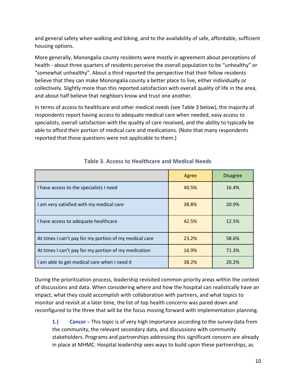and general safety when walking and biking, and to the availability of safe, affordable, sufficient housing options.

More generally, Monongalia county residents were mostly in agreement about perceptions of health - about three quarters of residents perceive the overall population to be "unhealthy" or "somewhat unhealthy". About a third reported the perspective that their fellow residents believe that they can make Monongalia county a better place to live, either individually or collectively. Slightly more than this reported satisfaction with overall quality of life in the area, and about half believe that neighbors know and trust one another.

In terms of access to healthcare and other medical needs (see Table 3 below), the majority of respondents report having access to adequate medical care when needed, easy access to specialists, overall satisfaction with the quality of care received, and the ability to typically be able to afford their portion of medical care and medications. (Note that many respondents reported that these questions were not applicable to them.)

|                                                        | Agree | <b>Disagree</b> |
|--------------------------------------------------------|-------|-----------------|
| I have access to the specialists I need                | 40.5% | 16.4%           |
| am very satisfied with my medical care                 | 38.8% | 20.9%           |
| I have access to adequate healthcare                   | 42.5% | 12.5%           |
| At times I can't pay for my portion of my medical care | 23.2% | 58.6%           |
| At times I can't pay for my portion of my medication   | 16.9% | 71.3%           |
| am able to get medical care when I need it             | 38.2% | 20.2%           |

#### **Table 3. Access to Healthcare and Medical Needs**

During the prioritization process, leadership revisited common priority areas within the context of discussions and data. When considering where and how the hospital can realistically have an impact, what they could accomplish with collaboration with partners, and what topics to monitor and revisit at a later time, the list of top health concerns was pared down and reconfigured to the three that will be the focus moving forward with implementation planning.

**1.) Cancer** – This topic is of very high importance according to the survey data from the community, the relevant secondary data, and discussions with community stakeholders. Programs and partnerships addressing this significant concern are already in place at MHMC. Hospital leadership sees ways to build upon these partnerships, as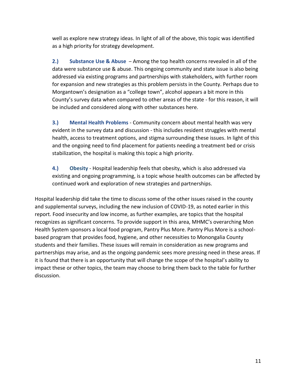well as explore new strategy ideas. In light of all of the above, this topic was identified as a high priority for strategy development.

**2.) Substance Use & Abuse** – Among the top health concerns revealed in all of the data were substance use & abuse. This ongoing community and state issue is also being addressed via existing programs and partnerships with stakeholders, with further room for expansion and new strategies as this problem persists in the County. Perhaps due to Morgantown's designation as a "college town", alcohol appears a bit more in this County's survey data when compared to other areas of the state - for this reason, it will be included and considered along with other substances here.

**3.) Mental Health Problems** - Community concern about mental health was very evident in the survey data and discussion - this includes resident struggles with mental health, access to treatment options, and stigma surrounding these issues. In light of this and the ongoing need to find placement for patients needing a treatment bed or crisis stabilization, the hospital is making this topic a high priority.

**4.) Obesity** - Hospital leadership feels that obesity, which is also addressed via existing and ongoing programming, is a topic whose health outcomes can be affected by continued work and exploration of new strategies and partnerships.

Hospital leadership did take the time to discuss some of the other issues raised in the county and supplemental surveys, including the new inclusion of COVID-19, as noted earlier in this report. Food insecurity and low income, as further examples, are topics that the hospital recognizes as significant concerns. To provide support in this area, MHMC's overarching Mon Health System sponsors a local food program, Pantry Plus More. Pantry Plus More is a schoolbased program that provides food, hygiene, and other necessities to Monongalia County students and their families. These issues will remain in consideration as new programs and partnerships may arise, and as the ongoing pandemic sees more pressing need in these areas. If it is found that there is an opportunity that will change the scope of the hospital's ability to impact these or other topics, the team may choose to bring them back to the table for further discussion.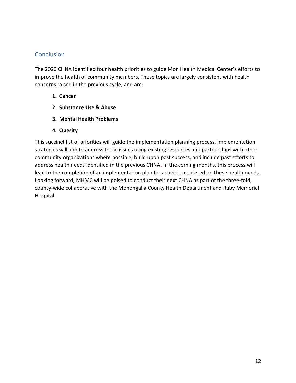#### **Conclusion**

The 2020 CHNA identified four health priorities to guide Mon Health Medical Center's efforts to improve the health of community members. These topics are largely consistent with health concerns raised in the previous cycle, and are:

- **1. Cancer**
- **2. Substance Use & Abuse**
- **3. Mental Health Problems**
- **4. Obesity**

This succinct list of priorities will guide the implementation planning process. Implementation strategies will aim to address these issues using existing resources and partnerships with other community organizations where possible, build upon past success, and include past efforts to address health needs identified in the previous CHNA. In the coming months, this process will lead to the completion of an implementation plan for activities centered on these health needs. Looking forward, MHMC will be poised to conduct their next CHNA as part of the three-fold, county-wide collaborative with the Monongalia County Health Department and Ruby Memorial Hospital.